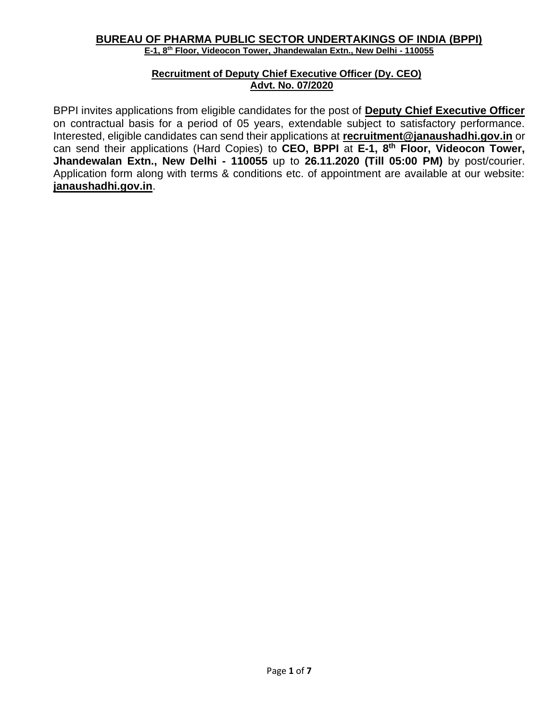#### **BUREAU OF PHARMA PUBLIC SECTOR UNDERTAKINGS OF INDIA (BPPI) E-1, 8th Floor, Videocon Tower, Jhandewalan Extn., New Delhi - 110055**

#### **Recruitment of Deputy Chief Executive Officer (Dy. CEO) Advt. No. 07/2020**

BPPI invites applications from eligible candidates for the post of **Deputy Chief Executive Officer** on contractual basis for a period of 05 years, extendable subject to satisfactory performance. Interested, eligible candidates can send their applications at **[recruitment@janaushadhi.gov.in](mailto:recruitment@janaushadhi.gov.in)** or can send their applications (Hard Copies) to **CEO, BPPI** at **E-1, 8th Floor, Videocon Tower, Jhandewalan Extn., New Delhi - 110055** up to **26.11.2020 (Till 05:00 PM)** by post/courier. Application form along with terms & conditions etc. of appointment are available at our website: **janaushadhi.gov.in**.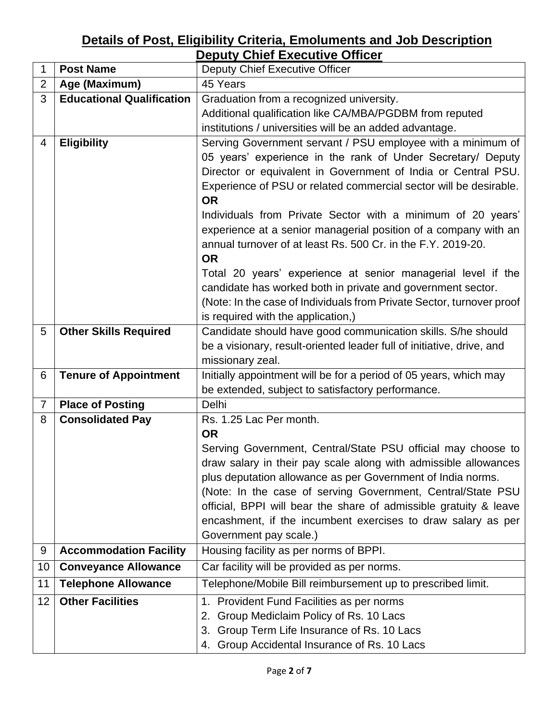# **Details of Post, Eligibility Criteria, Emoluments and Job Description Deputy Chief Executive Officer**

| 1              | <b>Post Name</b>                 | PRAIT ONNOI EAUUUITU ONNOU<br>Deputy Chief Executive Officer                                                       |  |  |  |
|----------------|----------------------------------|--------------------------------------------------------------------------------------------------------------------|--|--|--|
| $\overline{2}$ |                                  | 45 Years                                                                                                           |  |  |  |
|                | Age (Maximum)                    |                                                                                                                    |  |  |  |
| 3              | <b>Educational Qualification</b> | Graduation from a recognized university.                                                                           |  |  |  |
|                |                                  | Additional qualification like CA/MBA/PGDBM from reputed<br>institutions / universities will be an added advantage. |  |  |  |
|                |                                  |                                                                                                                    |  |  |  |
| 4              | <b>Eligibility</b>               | Serving Government servant / PSU employee with a minimum of                                                        |  |  |  |
|                |                                  | 05 years' experience in the rank of Under Secretary/ Deputy                                                        |  |  |  |
|                |                                  | Director or equivalent in Government of India or Central PSU.                                                      |  |  |  |
|                |                                  | Experience of PSU or related commercial sector will be desirable.                                                  |  |  |  |
|                |                                  | <b>OR</b>                                                                                                          |  |  |  |
|                |                                  | Individuals from Private Sector with a minimum of 20 years'                                                        |  |  |  |
|                |                                  | experience at a senior managerial position of a company with an                                                    |  |  |  |
|                |                                  | annual turnover of at least Rs. 500 Cr. in the F.Y. 2019-20.                                                       |  |  |  |
|                |                                  | <b>OR</b>                                                                                                          |  |  |  |
|                |                                  | Total 20 years' experience at senior managerial level if the                                                       |  |  |  |
|                |                                  | candidate has worked both in private and government sector.                                                        |  |  |  |
|                |                                  | (Note: In the case of Individuals from Private Sector, turnover proof                                              |  |  |  |
|                |                                  | is required with the application,)                                                                                 |  |  |  |
| 5              | <b>Other Skills Required</b>     | Candidate should have good communication skills. S/he should                                                       |  |  |  |
|                |                                  | be a visionary, result-oriented leader full of initiative, drive, and                                              |  |  |  |
|                |                                  | missionary zeal.                                                                                                   |  |  |  |
| 6              | <b>Tenure of Appointment</b>     | Initially appointment will be for a period of 05 years, which may                                                  |  |  |  |
|                |                                  | be extended, subject to satisfactory performance.                                                                  |  |  |  |
| 7              | <b>Place of Posting</b>          | Delhi                                                                                                              |  |  |  |
| 8              | <b>Consolidated Pay</b>          | Rs. 1.25 Lac Per month.                                                                                            |  |  |  |
|                |                                  | <b>OR</b>                                                                                                          |  |  |  |
|                |                                  |                                                                                                                    |  |  |  |
|                |                                  | Serving Government, Central/State PSU official may choose to                                                       |  |  |  |
|                |                                  | draw salary in their pay scale along with admissible allowances                                                    |  |  |  |
|                |                                  | plus deputation allowance as per Government of India norms.                                                        |  |  |  |
|                |                                  | (Note: In the case of serving Government, Central/State PSU                                                        |  |  |  |
|                |                                  | official, BPPI will bear the share of admissible gratuity & leave                                                  |  |  |  |
|                |                                  | encashment, if the incumbent exercises to draw salary as per                                                       |  |  |  |
|                |                                  | Government pay scale.)                                                                                             |  |  |  |
| 9              | <b>Accommodation Facility</b>    | Housing facility as per norms of BPPI.                                                                             |  |  |  |
| 10             | <b>Conveyance Allowance</b>      | Car facility will be provided as per norms.                                                                        |  |  |  |
| 11             | <b>Telephone Allowance</b>       | Telephone/Mobile Bill reimbursement up to prescribed limit.                                                        |  |  |  |
| 12             | <b>Other Facilities</b>          | 1. Provident Fund Facilities as per norms                                                                          |  |  |  |
|                |                                  | Group Mediclaim Policy of Rs. 10 Lacs<br>2.                                                                        |  |  |  |
|                |                                  | Group Term Life Insurance of Rs. 10 Lacs<br>3.                                                                     |  |  |  |
|                |                                  | Group Accidental Insurance of Rs. 10 Lacs<br>4.                                                                    |  |  |  |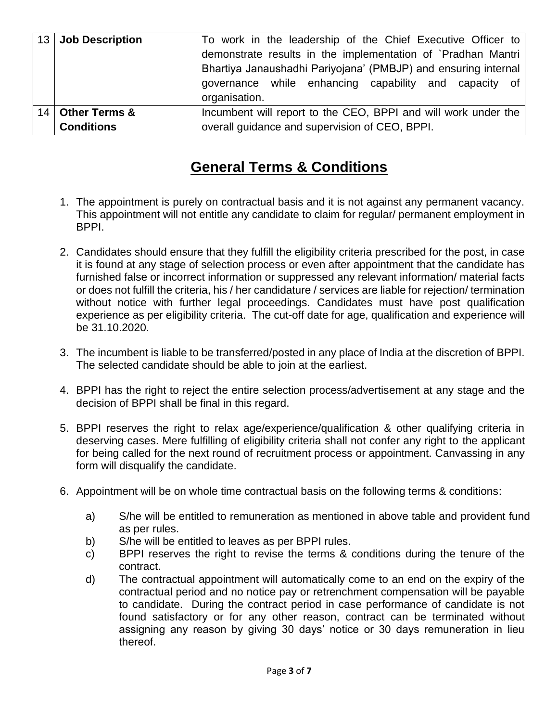|                 | 13 Job Description       | To work in the leadership of the Chief Executive Officer to    |  |  |  |  |  |
|-----------------|--------------------------|----------------------------------------------------------------|--|--|--|--|--|
|                 |                          | demonstrate results in the implementation of `Pradhan Mantri   |  |  |  |  |  |
|                 |                          | Bhartiya Janaushadhi Pariyojana' (PMBJP) and ensuring internal |  |  |  |  |  |
|                 |                          | governance while enhancing capability and capacity of          |  |  |  |  |  |
|                 |                          | organisation.                                                  |  |  |  |  |  |
| 14 <sup>1</sup> | <b>Other Terms &amp;</b> | Incumbent will report to the CEO, BPPI and will work under the |  |  |  |  |  |
|                 | <b>Conditions</b>        | overall guidance and supervision of CEO, BPPI.                 |  |  |  |  |  |

# **General Terms & Conditions**

- 1. The appointment is purely on contractual basis and it is not against any permanent vacancy. This appointment will not entitle any candidate to claim for regular/ permanent employment in BPPI.
- 2. Candidates should ensure that they fulfill the eligibility criteria prescribed for the post, in case it is found at any stage of selection process or even after appointment that the candidate has furnished false or incorrect information or suppressed any relevant information/ material facts or does not fulfill the criteria, his / her candidature / services are liable for rejection/ termination without notice with further legal proceedings. Candidates must have post qualification experience as per eligibility criteria. The cut-off date for age, qualification and experience will be 31.10.2020.
- 3. The incumbent is liable to be transferred/posted in any place of India at the discretion of BPPI. The selected candidate should be able to join at the earliest.
- 4. BPPI has the right to reject the entire selection process/advertisement at any stage and the decision of BPPI shall be final in this regard.
- 5. BPPI reserves the right to relax age/experience/qualification & other qualifying criteria in deserving cases. Mere fulfilling of eligibility criteria shall not confer any right to the applicant for being called for the next round of recruitment process or appointment. Canvassing in any form will disqualify the candidate.
- 6. Appointment will be on whole time contractual basis on the following terms & conditions:
	- a) S/he will be entitled to remuneration as mentioned in above table and provident fund as per rules.
	- b) S/he will be entitled to leaves as per BPPI rules.
	- c) BPPI reserves the right to revise the terms & conditions during the tenure of the contract.
	- d) The contractual appointment will automatically come to an end on the expiry of the contractual period and no notice pay or retrenchment compensation will be payable to candidate. During the contract period in case performance of candidate is not found satisfactory or for any other reason, contract can be terminated without assigning any reason by giving 30 days' notice or 30 days remuneration in lieu thereof.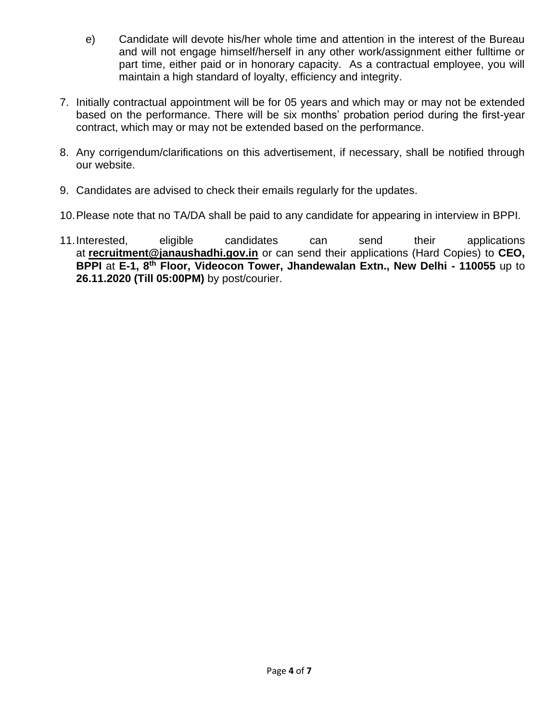- e) Candidate will devote his/her whole time and attention in the interest of the Bureau and will not engage himself/herself in any other work/assignment either fulltime or part time, either paid or in honorary capacity. As a contractual employee, you will maintain a high standard of loyalty, efficiency and integrity.
- 7. Initially contractual appointment will be for 05 years and which may or may not be extended based on the performance. There will be six months' probation period during the first-year contract, which may or may not be extended based on the performance.
- 8. Any corrigendum/clarifications on this advertisement, if necessary, shall be notified through our website.
- 9. Candidates are advised to check their emails regularly for the updates.
- 10.Please note that no TA/DA shall be paid to any candidate for appearing in interview in BPPI.
- 11.Interested, eligible candidates can send their applications at **[recruitment@janaushadhi.gov.in](mailto:recruitment@janaushadhi.gov.in)** or can send their applications (Hard Copies) to **CEO, BPPI** at **E-1, 8th Floor, Videocon Tower, Jhandewalan Extn., New Delhi - 110055** up to **26.11.2020 (Till 05:00PM)** by post/courier.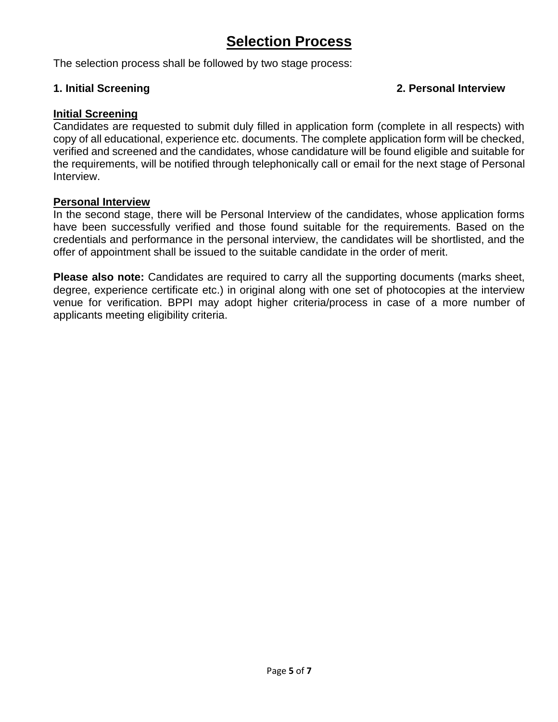# **Selection Process**

The selection process shall be followed by two stage process:

### **1. Initial Screening 2. Personal Interview**

#### **Initial Screening**

Candidates are requested to submit duly filled in application form (complete in all respects) with copy of all educational, experience etc. documents. The complete application form will be checked, verified and screened and the candidates, whose candidature will be found eligible and suitable for the requirements, will be notified through telephonically call or email for the next stage of Personal Interview.

#### **Personal Interview**

In the second stage, there will be Personal Interview of the candidates, whose application forms have been successfully verified and those found suitable for the requirements. Based on the credentials and performance in the personal interview, the candidates will be shortlisted, and the offer of appointment shall be issued to the suitable candidate in the order of merit.

**Please also note:** Candidates are required to carry all the supporting documents (marks sheet, degree, experience certificate etc.) in original along with one set of photocopies at the interview venue for verification. BPPI may adopt higher criteria/process in case of a more number of applicants meeting eligibility criteria.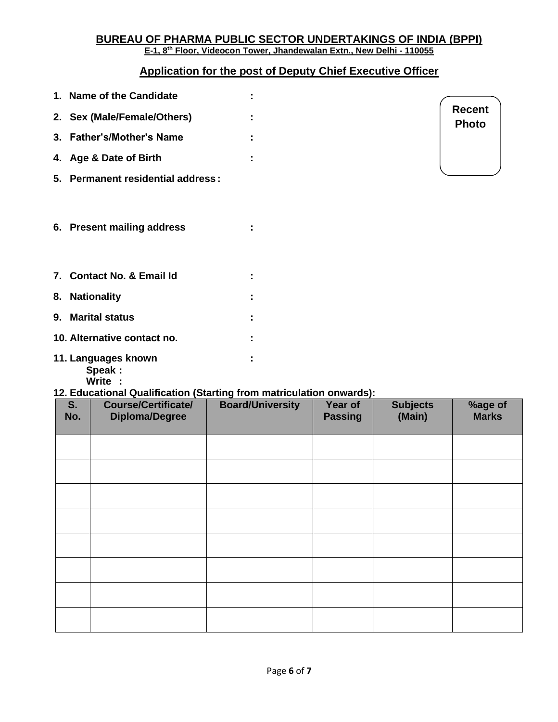#### **BUREAU OF PHARMA PUBLIC SECTOR UNDERTAKINGS OF INDIA (BPPI) E-1, 8th Floor, Videocon Tower, Jhandewalan Extn., New Delhi - 110055**

## **Application for the post of Deputy Chief Executive Officer**

| 1. Name of the Candidate          |   |                               |
|-----------------------------------|---|-------------------------------|
| 2. Sex (Male/Female/Others)       |   | <b>Recent</b><br><b>Photo</b> |
| 3. Father's/Mother's Name         |   |                               |
| 4. Age & Date of Birth            | ÷ |                               |
| 5. Permanent residential address: |   |                               |
| 6. Present mailing address        |   |                               |
| 7. Contact No. & Email Id         |   |                               |
| 8. Nationality                    |   |                               |
| 9. Marital status                 |   |                               |
| 10. Alternative contact no.       |   |                               |
| 11. Languages known<br>Speak:     | I |                               |

**Write :**

## **12. Educational Qualification (Starting from matriculation onwards):**

| S.<br>No. | <b>Course/Certificate/</b><br><b>Diploma/Degree</b> | <b>Board/University</b> | Year of<br><b>Passing</b> | <b>Subjects</b><br>(Main) | %age of<br><b>Marks</b> |
|-----------|-----------------------------------------------------|-------------------------|---------------------------|---------------------------|-------------------------|
|           |                                                     |                         |                           |                           |                         |
|           |                                                     |                         |                           |                           |                         |
|           |                                                     |                         |                           |                           |                         |
|           |                                                     |                         |                           |                           |                         |
|           |                                                     |                         |                           |                           |                         |
|           |                                                     |                         |                           |                           |                         |
|           |                                                     |                         |                           |                           |                         |
|           |                                                     |                         |                           |                           |                         |